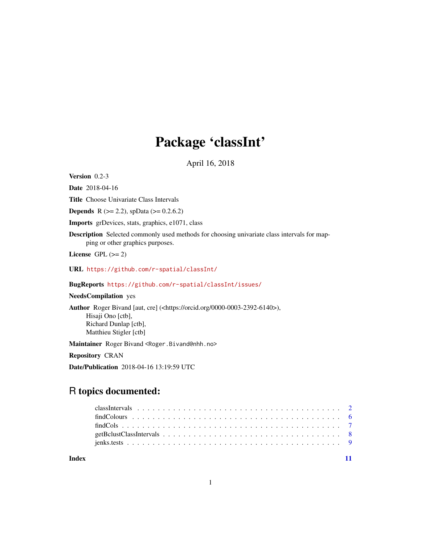## Package 'classInt'

April 16, 2018

<span id="page-0-0"></span>Version 0.2-3

Date 2018-04-16

Title Choose Univariate Class Intervals

**Depends** R ( $>= 2.2$ ), spData ( $>= 0.2.6.2$ )

Imports grDevices, stats, graphics, e1071, class

Description Selected commonly used methods for choosing univariate class intervals for mapping or other graphics purposes.

License GPL  $(>= 2)$ 

URL <https://github.com/r-spatial/classInt/>

BugReports <https://github.com/r-spatial/classInt/issues/>

NeedsCompilation yes

Author Roger Bivand [aut, cre] (<https://orcid.org/0000-0003-2392-6140>), Hisaji Ono [ctb], Richard Dunlap [ctb], Matthieu Stigler [ctb]

Maintainer Roger Bivand <Roger.Bivand@nhh.no>

Repository CRAN

Date/Publication 2018-04-16 13:19:59 UTC

## R topics documented:

| Index |  |
|-------|--|

1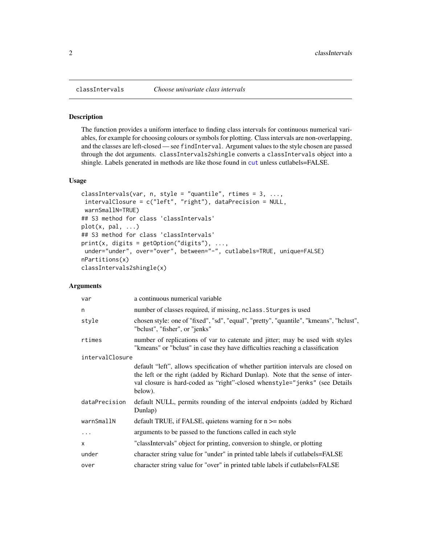## Description

The function provides a uniform interface to finding class intervals for continuous numerical variables, for example for choosing colours or symbols for plotting. Class intervals are non-overlapping, and the classes are left-closed — see findInterval. Argument values to the style chosen are passed through the dot arguments. classIntervals2shingle converts a classIntervals object into a shingle. Labels generated in methods are like those found in [cut](#page-0-0) unless cutlabels=FALSE.

## Usage

```
classIntervals(var, n, style = "quantile", rtimes = 3, ...,
intervalClosure = c("left", "right"), dataPrecision = NULL,
 warnSmallN=TRUE)
## S3 method for class 'classIntervals'
plot(x, pal, ...)## S3 method for class 'classIntervals'
print(x, digits = getOption("digits"), ...under="under", over="over", between="-", cutlabels=TRUE, unique=FALSE)
nPartitions(x)
classIntervals2shingle(x)
```
## **Arguments**

| var             | a continuous numerical variable                                                                                                                                                                                                                              |
|-----------------|--------------------------------------------------------------------------------------------------------------------------------------------------------------------------------------------------------------------------------------------------------------|
| n               | number of classes required, if missing, nclass. Sturges is used                                                                                                                                                                                              |
| style           | chosen style: one of "fixed", "sd", "equal", "pretty", "quantile", "kmeans", "hclust",<br>"bclust", "fisher", or "jenks"                                                                                                                                     |
| rtimes          | number of replications of var to catenate and jitter; may be used with styles<br>"kmeans" or "belust" in case they have difficulties reaching a classification                                                                                               |
| intervalClosure |                                                                                                                                                                                                                                                              |
|                 | default "left", allows specification of whether partition intervals are closed on<br>the left or the right (added by Richard Dunlap). Note that the sense of inter-<br>val closure is hard-coded as "right"-closed whenstyle="jenks" (see Details<br>below). |
| dataPrecision   | default NULL, permits rounding of the interval endpoints (added by Richard<br>Dunlap)                                                                                                                                                                        |
| warnSmallN      | default TRUE, if FALSE, quietens warning for $n \ge -n$ nobs                                                                                                                                                                                                 |
| $\cdots$        | arguments to be passed to the functions called in each style                                                                                                                                                                                                 |
| X               | "classIntervals" object for printing, conversion to shingle, or plotting                                                                                                                                                                                     |
| under           | character string value for "under" in printed table labels if cutlabels=FALSE                                                                                                                                                                                |
| over            | character string value for "over" in printed table labels if cutlabels=FALSE                                                                                                                                                                                 |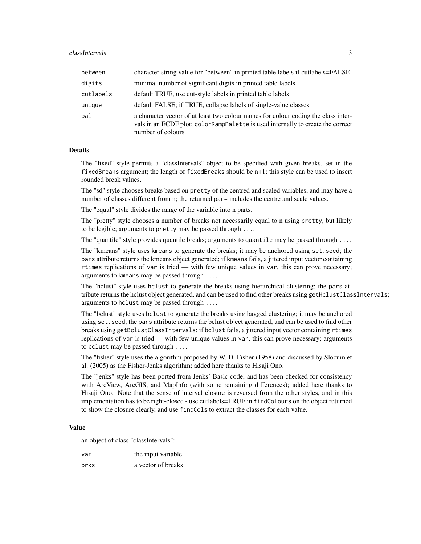| between   | character string value for "between" in printed table labels if cutlabels=FALSE                                                                                                            |
|-----------|--------------------------------------------------------------------------------------------------------------------------------------------------------------------------------------------|
| digits    | minimal number of significant digits in printed table labels                                                                                                                               |
| cutlabels | default TRUE, use cut-style labels in printed table labels                                                                                                                                 |
| unique    | default FALSE; if TRUE, collapse labels of single-value classes                                                                                                                            |
| pal       | a character vector of at least two colour names for colour coding the class inter-<br>vals in an ECDF plot; colorRampPalette is used internally to create the correct<br>number of colours |

## Details

The "fixed" style permits a "classIntervals" object to be specified with given breaks, set in the fixedBreaks argument; the length of fixedBreaks should be n+1; this style can be used to insert rounded break values.

The "sd" style chooses breaks based on pretty of the centred and scaled variables, and may have a number of classes different from n; the returned par= includes the centre and scale values.

The "equal" style divides the range of the variable into n parts.

The "pretty" style chooses a number of breaks not necessarily equal to n using pretty, but likely to be legible; arguments to pretty may be passed through ....

The "quantile" style provides quantile breaks; arguments to quantile may be passed through ....

The "kmeans" style uses kmeans to generate the breaks; it may be anchored using set.seed; the pars attribute returns the kmeans object generated; if kmeans fails, a jittered input vector containing rtimes replications of var is tried — with few unique values in var, this can prove necessary; arguments to kmeans may be passed through ....

The "hclust" style uses hclust to generate the breaks using hierarchical clustering; the pars attribute returns the hclust object generated, and can be used to find other breaks using getHclustClassIntervals; arguments to hclust may be passed through ....

The "bclust" style uses bclust to generate the breaks using bagged clustering; it may be anchored using set.seed; the pars attribute returns the bclust object generated, and can be used to find other breaks using getBclustClassIntervals; if bclust fails, a jittered input vector containing rtimes replications of var is tried — with few unique values in var, this can prove necessary; arguments to bclust may be passed through ....

The "fisher" style uses the algorithm proposed by W. D. Fisher (1958) and discussed by Slocum et al. (2005) as the Fisher-Jenks algorithm; added here thanks to Hisaji Ono.

The "jenks" style has been ported from Jenks' Basic code, and has been checked for consistency with ArcView, ArcGIS, and MapInfo (with some remaining differences); added here thanks to Hisaji Ono. Note that the sense of interval closure is reversed from the other styles, and in this implementation has to be right-closed - use cutlabels=TRUE in findColours on the object returned to show the closure clearly, and use findCols to extract the classes for each value.

#### Value

an object of class "classIntervals":

| var  | the input variable |
|------|--------------------|
| brks | a vector of breaks |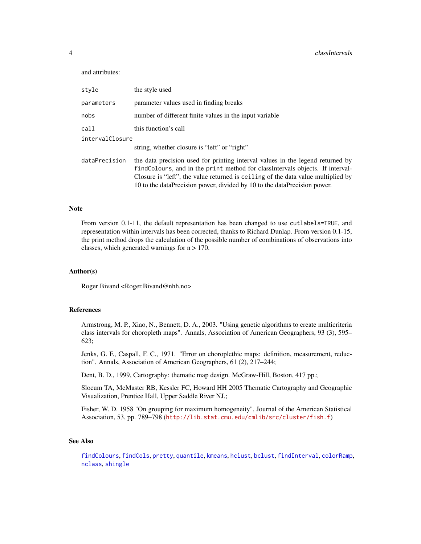## <span id="page-3-0"></span>4 classIntervals

and attributes:

| style           | the style used                                                                                                                                                                                                                                                                                                                    |
|-----------------|-----------------------------------------------------------------------------------------------------------------------------------------------------------------------------------------------------------------------------------------------------------------------------------------------------------------------------------|
| parameters      | parameter values used in finding breaks                                                                                                                                                                                                                                                                                           |
| nobs            | number of different finite values in the input variable                                                                                                                                                                                                                                                                           |
| call            | this function's call                                                                                                                                                                                                                                                                                                              |
| intervalClosure |                                                                                                                                                                                                                                                                                                                                   |
|                 | string, whether closure is "left" or "right"                                                                                                                                                                                                                                                                                      |
| dataPrecision   | the data precision used for printing interval values in the legend returned by<br>find Colours, and in the print method for class Intervals objects. If interval-<br>Closure is "left", the value returned is ceiling of the data value multiplied by<br>10 to the dataPrecision power, divided by 10 to the dataPrecision power. |

## **Note**

From version 0.1-11, the default representation has been changed to use cutlabels=TRUE, and representation within intervals has been corrected, thanks to Richard Dunlap. From version 0.1-15, the print method drops the calculation of the possible number of combinations of observations into classes, which generated warnings for n > 170.

## Author(s)

Roger Bivand <Roger.Bivand@nhh.no>

### References

Armstrong, M. P., Xiao, N., Bennett, D. A., 2003. "Using genetic algorithms to create multicriteria class intervals for choropleth maps". Annals, Association of American Geographers, 93 (3), 595– 623;

Jenks, G. F., Caspall, F. C., 1971. "Error on choroplethic maps: definition, measurement, reduction". Annals, Association of American Geographers, 61 (2), 217–244;

Dent, B. D., 1999, Cartography: thematic map design. McGraw-Hill, Boston, 417 pp.;

Slocum TA, McMaster RB, Kessler FC, Howard HH 2005 Thematic Cartography and Geographic Visualization, Prentice Hall, Upper Saddle River NJ.;

Fisher, W. D. 1958 "On grouping for maximum homogeneity", Journal of the American Statistical Association, 53, pp. 789–798 (<http://lib.stat.cmu.edu/cmlib/src/cluster/fish.f>)

## See Also

[findColours](#page-5-1), [findCols](#page-6-1), [pretty](#page-0-0), [quantile](#page-0-0), [kmeans](#page-0-0), [hclust](#page-0-0), [bclust](#page-0-0), [findInterval](#page-0-0), [colorRamp](#page-0-0), [nclass](#page-0-0), [shingle](#page-0-0)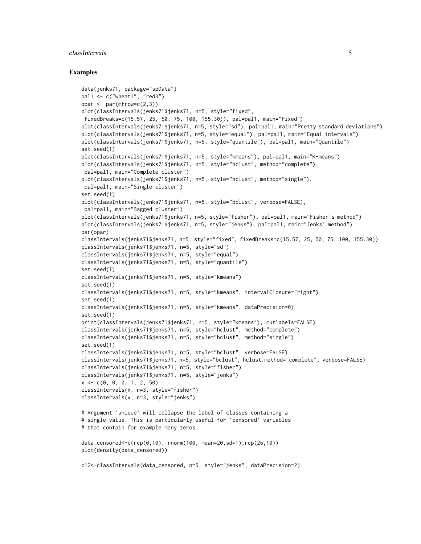#### classIntervals 5

```
data(jenks71, package="spData")
pal1 \leq c("wheat1", "red3")
opar <- par(mfrow=c(2,3))
plot(classIntervals(jenks71$jenks71, n=5, style="fixed",
fixedBreaks=c(15.57, 25, 50, 75, 100, 155.30)), pal=pal1, main="Fixed")
plot(classIntervals(jenks71$jenks71, n=5, style="sd"), pal=pal1, main="Pretty standard deviations")
plot(classIntervals(jenks71$jenks71, n=5, style="equal"), pal=pal1, main="Equal intervals")
plot(classIntervals(jenks71$jenks71, n=5, style="quantile"), pal=pal1, main="Quantile")
set.seed(1)
plot(classIntervals(jenks71$jenks71, n=5, style="kmeans"), pal=pal1, main="K-means")
plot(classIntervals(jenks71$jenks71, n=5, style="hclust", method="complete"),
pal=pal1, main="Complete cluster")
plot(classIntervals(jenks71$jenks71, n=5, style="hclust", method="single"),
pal=pal1, main="Single cluster")
set.seed(1)
plot(classIntervals(jenks71$jenks71, n=5, style="bclust", verbose=FALSE),
pal=pal1, main="Bagged cluster")
plot(classIntervals(jenks71$jenks71, n=5, style="fisher"), pal=pal1, main="Fisher's method")
plot(classIntervals(jenks71$jenks71, n=5, style="jenks"), pal=pal1, main="Jenks' method")
par(opar)
classIntervals(jenks71$jenks71, n=5, style="fixed", fixedBreaks=c(15.57, 25, 50, 75, 100, 155.30))
classIntervals(jenks71$jenks71, n=5, style="sd")
classIntervals(jenks71$jenks71, n=5, style="equal")
classIntervals(jenks71$jenks71, n=5, style="quantile")
set.seed(1)
classIntervals(jenks71$jenks71, n=5, style="kmeans")
set.seed(1)
classIntervals(jenks71$jenks71, n=5, style="kmeans", intervalClosure="right")
set.seed(1)
classIntervals(jenks71$jenks71, n=5, style="kmeans", dataPrecision=0)
set.seed(1)
print(classIntervals(jenks71$jenks71, n=5, style="kmeans"), cutlabels=FALSE)
classIntervals(jenks71$jenks71, n=5, style="hclust", method="complete")
classIntervals(jenks71$jenks71, n=5, style="hclust", method="single")
set.seed(1)
classIntervals(jenks71$jenks71, n=5, style="bclust", verbose=FALSE)
classIntervals(jenks71$jenks71, n=5, style="bclust", hclust.method="complete", verbose=FALSE)
classIntervals(jenks71$jenks71, n=5, style="fisher")
classIntervals(jenks71$jenks71, n=5, style="jenks")
x \leq -c(0, 0, 0, 1, 2, 50)classIntervals(x, n=3, style="fisher")
classIntervals(x, n=3, style="jenks")
# Argument 'unique' will collapse the label of classes containing a
# single value. This is particularly useful for 'censored' variables
# that contain for example many zeros.
data_censored<-c(rep(0,10), rnorm(100, mean=20,sd=1),rep(26,10))
plot(density(data_censored))
cl2<-classIntervals(data_censored, n=5, style="jenks", dataPrecision=2)
```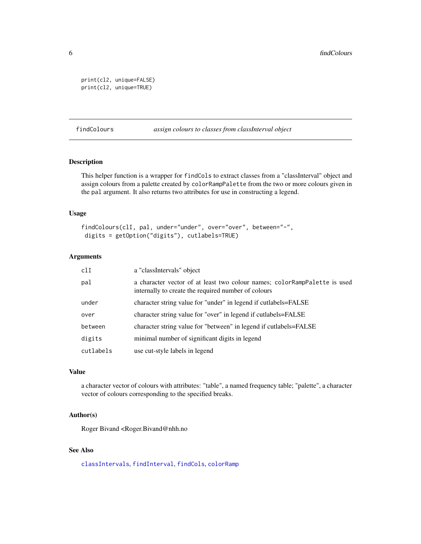```
print(cl2, unique=FALSE)
print(cl2, unique=TRUE)
```
<span id="page-5-1"></span>findColours *assign colours to classes from classInterval object*

## Description

This helper function is a wrapper for findCols to extract classes from a "classInterval" object and assign colours from a palette created by colorRampPalette from the two or more colours given in the pal argument. It also returns two attributes for use in constructing a legend.

## Usage

```
findColours(clI, pal, under="under", over="over", between="-",
digits = getOption("digits"), cutlabels=TRUE)
```
## Arguments

| c11       | a "classIntervals" object                                                                                                         |
|-----------|-----------------------------------------------------------------------------------------------------------------------------------|
| pal       | a character vector of at least two colour names; color RampPalette is used<br>internally to create the required number of colours |
| under     | character string value for "under" in legend if cutlabels=FALSE                                                                   |
| over      | character string value for "over" in legend if cutlabels=FALSE                                                                    |
| between   | character string value for "between" in legend if cutlabels=FALSE                                                                 |
| digits    | minimal number of significant digits in legend                                                                                    |
| cutlabels | use cut-style labels in legend                                                                                                    |

#### Value

a character vector of colours with attributes: "table", a named frequency table; "palette", a character vector of colours corresponding to the specified breaks.

## Author(s)

Roger Bivand <Roger.Bivand@nhh.no

## See Also

[classIntervals](#page-1-1), [findInterval](#page-0-0), [findCols](#page-6-1), [colorRamp](#page-0-0)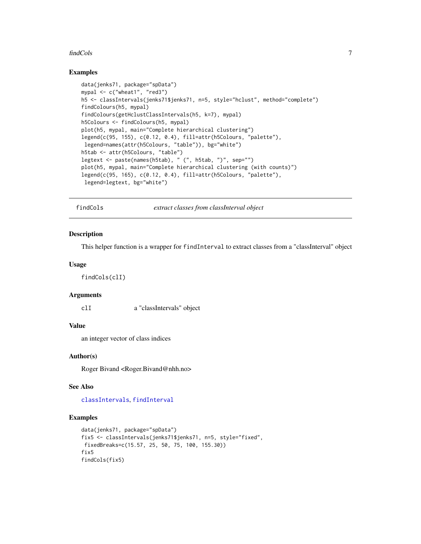#### <span id="page-6-0"></span>findCols **7**

## Examples

```
data(jenks71, package="spData")
mypal <- c("wheat1", "red3")
h5 <- classIntervals(jenks71$jenks71, n=5, style="hclust", method="complete")
findColours(h5, mypal)
findColours(getHclustClassIntervals(h5, k=7), mypal)
h5Colours <- findColours(h5, mypal)
plot(h5, mypal, main="Complete hierarchical clustering")
legend(c(95, 155), c(0.12, 0.4), fill=attr(h5Colours, "palette"),
legend=names(attr(h5Colours, "table")), bg="white")
h5tab <- attr(h5Colours, "table")
legtext <- paste(names(h5tab), " (", h5tab, ")", sep="")
plot(h5, mypal, main="Complete hierarchical clustering (with counts)")
legend(c(95, 165), c(0.12, 0.4), fill=attr(h5Colours, "palette"),
legend=legtext, bg="white")
```
<span id="page-6-1"></span>findCols *extract classes from classInterval object*

#### Description

This helper function is a wrapper for findInterval to extract classes from a "classInterval" object

## Usage

findCols(clI)

## Arguments

clI a "classIntervals" object

## Value

an integer vector of class indices

## Author(s)

Roger Bivand <Roger.Bivand@nhh.no>

#### See Also

[classIntervals](#page-1-1), [findInterval](#page-0-0)

```
data(jenks71, package="spData")
fix5 <- classIntervals(jenks71$jenks71, n=5, style="fixed",
fixedBreaks=c(15.57, 25, 50, 75, 100, 155.30))
fix5
findCols(fix5)
```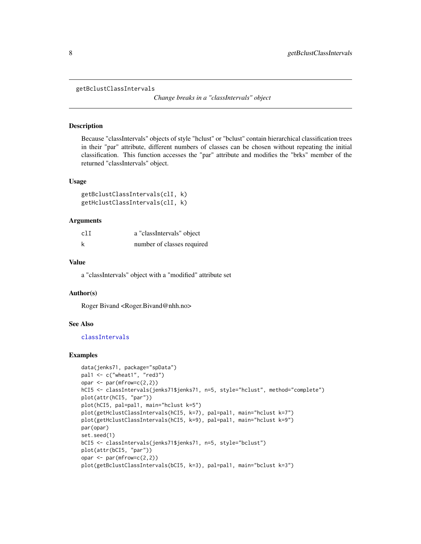<span id="page-7-0"></span>getBclustClassIntervals

*Change breaks in a "classIntervals" object*

## Description

Because "classIntervals" objects of style "hclust" or "bclust" contain hierarchical classification trees in their "par" attribute, different numbers of classes can be chosen without repeating the initial classification. This function accesses the "par" attribute and modifies the "brks" member of the returned "classIntervals" object.

#### Usage

```
getBclustClassIntervals(clI, k)
getHclustClassIntervals(clI, k)
```
## Arguments

| clI | a "classIntervals" object  |
|-----|----------------------------|
| k   | number of classes required |

## Value

a "classIntervals" object with a "modified" attribute set

## Author(s)

Roger Bivand <Roger.Bivand@nhh.no>

## See Also

[classIntervals](#page-1-1)

```
data(jenks71, package="spData")
pal1 \leq c("wheat1", "red3")
opar \leq par(mfrow=c(2,2))
hCI5 <- classIntervals(jenks71$jenks71, n=5, style="hclust", method="complete")
plot(attr(hCI5, "par"))
plot(hCI5, pal=pal1, main="hclust k=5")
plot(getHclustClassIntervals(hCI5, k=7), pal=pal1, main="hclust k=7")
plot(getHclustClassIntervals(hCI5, k=9), pal=pal1, main="hclust k=9")
par(opar)
set.seed(1)
bCI5 <- classIntervals(jenks71$jenks71, n=5, style="bclust")
plot(attr(bCI5, "par"))
opar \leq par(mfrow=c(2,2))
plot(getBclustClassIntervals(bCI5, k=3), pal=pal1, main="bclust k=3")
```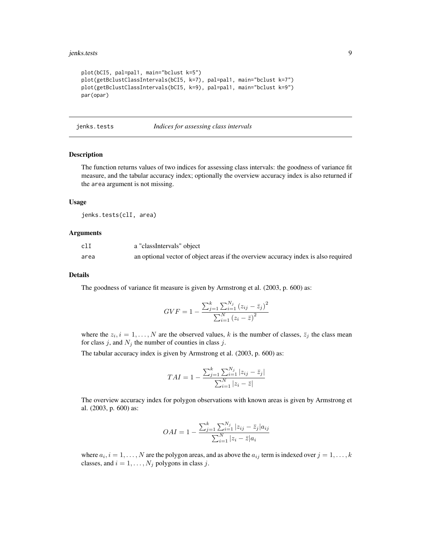## <span id="page-8-0"></span>jenks.tests 9

```
plot(bCI5, pal=pal1, main="bclust k=5")
plot(getBclustClassIntervals(bCI5, k=7), pal=pal1, main="bclust k=7")
plot(getBclustClassIntervals(bCI5, k=9), pal=pal1, main="bclust k=9")
par(opar)
```
jenks.tests *Indices for assessing class intervals*

## Description

The function returns values of two indices for assessing class intervals: the goodness of variance fit measure, and the tabular accuracy index; optionally the overview accuracy index is also returned if the area argument is not missing.

#### Usage

jenks.tests(clI, area)

## Arguments

| clI  | a "classIntervals" object                                                          |
|------|------------------------------------------------------------------------------------|
| area | an optional vector of object areas if the overview accuracy index is also required |

#### Details

The goodness of variance fit measure is given by Armstrong et al. (2003, p. 600) as:

$$
GVF = 1 - \frac{\sum_{j=1}^{k} \sum_{i=1}^{N_j} (z_{ij} - \bar{z}_j)^2}{\sum_{i=1}^{N} (z_i - \bar{z})^2}
$$

where the  $z_i$ ,  $i = 1, ..., N$  are the observed values, k is the number of classes,  $\overline{z}_j$  the class mean for class j, and  $N_i$  the number of counties in class j.

The tabular accuracy index is given by Armstrong et al. (2003, p. 600) as:

$$
TAI = 1 - \frac{\sum_{j=1}^{k} \sum_{i=1}^{N_j} |z_{ij} - \bar{z}_j|}{\sum_{i=1}^{N} |z_i - \bar{z}|}
$$

The overview accuracy index for polygon observations with known areas is given by Armstrong et al. (2003, p. 600) as:

$$
OAI = 1 - \frac{\sum_{j=1}^{k} \sum_{i=1}^{N_j} |z_{ij} - \bar{z}_j| a_{ij}}{\sum_{i=1}^{N} |z_i - \bar{z}| a_i}
$$

where  $a_i$ ,  $i = 1, \ldots, N$  are the polygon areas, and as above the  $a_{ij}$  term is indexed over  $j = 1, \ldots, k$ classes, and  $i = 1, \ldots, N_j$  polygons in class j.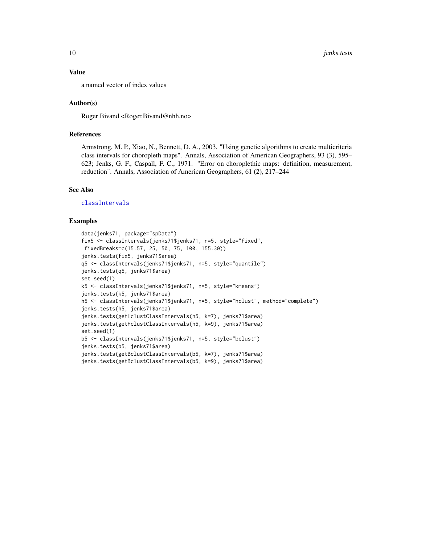## <span id="page-9-0"></span>Value

a named vector of index values

## Author(s)

Roger Bivand <Roger.Bivand@nhh.no>

## References

Armstrong, M. P., Xiao, N., Bennett, D. A., 2003. "Using genetic algorithms to create multicriteria class intervals for choropleth maps". Annals, Association of American Geographers, 93 (3), 595– 623; Jenks, G. F., Caspall, F. C., 1971. "Error on choroplethic maps: definition, measurement, reduction". Annals, Association of American Geographers, 61 (2), 217–244

#### See Also

[classIntervals](#page-1-1)

```
data(jenks71, package="spData")
fix5 <- classIntervals(jenks71$jenks71, n=5, style="fixed",
fixedBreaks=c(15.57, 25, 50, 75, 100, 155.30))
jenks.tests(fix5, jenks71$area)
q5 <- classIntervals(jenks71$jenks71, n=5, style="quantile")
jenks.tests(q5, jenks71$area)
set.seed(1)
k5 <- classIntervals(jenks71$jenks71, n=5, style="kmeans")
jenks.tests(k5, jenks71$area)
h5 <- classIntervals(jenks71$jenks71, n=5, style="hclust", method="complete")
jenks.tests(h5, jenks71$area)
jenks.tests(getHclustClassIntervals(h5, k=7), jenks71$area)
jenks.tests(getHclustClassIntervals(h5, k=9), jenks71$area)
set.seed(1)
b5 <- classIntervals(jenks71$jenks71, n=5, style="bclust")
jenks.tests(b5, jenks71$area)
jenks.tests(getBclustClassIntervals(b5, k=7), jenks71$area)
jenks.tests(getBclustClassIntervals(b5, k=9), jenks71$area)
```